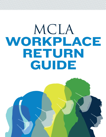# MCLA WORKPLACE RETURN GUIDE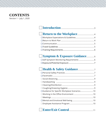## **CONTENTS** Version 1 – July 1, 2020

## **Introduction**.................................................................3

## **Symptom & Exposure Guidance**................6

# **Health & Safety Guidance**..................................7

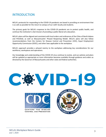## INTRODUCTION

MCLA's protocols for responding to the COVID-19 pandemic are based in providing an environment that is as safe as possible for the return to campus of our staff, faculty and students.

The primary goals for MCLA's response to the COVID-19 pandemic are to protect public health, and continue the institution's vital mission of providing a public liberal arts education.

MCLA's plans will be aligned and consistent with local orders and ordinances of the Cities of North Adams and Pittsfield, as well as Massachusetts' Phased Reopening Model. MCLA's plans will also follow recommendations from the Centers for Disease Control and Prevention (CDC), Equal Employment Opportunity Commission (EEOC), and other laws applicable to the workplace.

MCLA's approach provides a phased reentry to the workplace addressing key considerations for our workforce, workspaces and operations.

Our knowledge and understanding of the COVID-19 virus continue to evolve, and our policies and plans will be updated as appropriate as more information becomes available through guidance and orders as directed by the Governor of Massachusetts and other state and federal authorities.

 $\sqrt{ }$ CENTERS FOR DISEASE **CONTROL AND PREVENTION**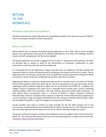## RETURN TO THE **WORKPLACE**

#### Workplace Expectations & Guidelines

All staff are expected to comply with protocols and guidelines outlined in this document as part of MCLA's return to work plans during the COVID-19 pandemic.

#### Return to Work Plan

MCLA staff will return in phases and limited capacity beginning on July 6, 2020. Return will be managed based on the operational needs specific to individual departments, the needs and challenges faced by faculty and staff, and guidance from the Commonwealth.

This phased approach may include a staggered return of staff (i.e. department staff working in the office on alternate days or weeks) to allow for the identification of unforeseen modifications to work environments, and issues that will need to be addressed.

It is anticipated that by the beginning of August staff who have not applied for and been granted the temporary ability to continue to telecommute for qualifying circumstances will return to campus. By the beginning of the Fall semester, faculty who have not applied for and been granted the temporary ability to continue to teach remotely for qualifying circumstances, will return to campus.

Regarding the ability to continue to temporarily telecommute or remotely teach, the Center for Disease Control (CDC) guidance states that adults age 65 and over and people of any age with certain serious underlying medical conditions might be at higher risk for severe illness from COVID-19. In addition, the college is aware of employees who either have a vulnerable family member with a serious underlying medical condition within the household or who lack childcare during this public health emergency. To help address these circumstances, there is a process to follow to request temporary continued telecommuting should an employee need to request an extension of their telecommuting assignment as a result of being in a high-risk category identified by the CDC, having a vulnerable family member within the immediate household in a high-risk category or having a lack of childcare.

Faculty members who need to continue to teach remotely for the Fall 2020 semester due to the circumstances mentioned above must complete MCLA's Online Training Course or OTC Refresher Course and must show appropriate and frequent use of Canvas, MCLA's learning management system.

The process outlines the medical conditions that might place a person at higher risk for severe illness from COVID-19. The communication about this process and accompanying forms to apply can be found here: [Temporary Telecommuting Continuation](http://www.mcla.edu/Assets/MCLA-Files/Student-Life/Wellness/HealthService/coronavirus/Temporary-Telecommuting-Continuation-6.22-withlinks.pdf)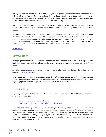Faculty and staff will not be evaluated and/or subject to disparate treatment based on vulnerable, high risk or other protected status as defined by the Equal Employment Opportunity Commission. Consideration will be given to those who are at most risk for exposure, such as those in high-risk categories or those whose jobs cannot easily accommodate social distancing.

Not all positions are feasible for telecommuting; the responsibilities of the position and operational needs of the college are among the considerations when reviewing a temporary telework/remote teaching request.

Employees who cannot successfully work from home and have child-care or other family-care needs should be informed about possible paid leave options, such as the Families First Coronavirus Response Act. Information about options available under this Act can be found at the link below. Employees interested in learning more about FFCRA leave eligibility and/or other leave options such as use of accrued, unused benefit time should contact Human Resources for assistance.

[FFCRA Poster](http://www.mcla.edu/Assets/MCLA-Files/Student-Life/Wellness/HealthService/coronavirus/FFCRA_Poster_WH1422_Non-Federal.pdf)

#### Communication

During all phases of returning to work MCLA administrators will continue to communicate regularly with staff and faculty with updates related to changes in process, protocols and local, state and federal guidelines.

All written communications, as well as updates, additional information and links, will be available on the college's [COVID-19 webpage.](http://www.mcla.edu/Student_Life/wellness/healthservices/coronavirus/index.html)

Employees should continue to contact their supervisor with questions or concerns about operating needs. As well, supervisors will continue to engage their teams, and conduct regular check-ins with employees regarding updates, well-being, protocols and practices in the work environment.

#### Travel Guidelines

Regarding travel, links to the most recent advisories from the Commonwealth and the U.S. Department of State are provided here:

[Covid-19 International Travel Advisories](https://www.mass.gov/info-details/travel-information-related-to-covid-19#international-travel-advisories-) [Travel Advisory Alert-Global level 4 health advisory issue](https://travel.state.gov/content/travel/en/traveladvisories/ea/travel-advisory-alert-global-level-4-health-advisory-issue.html)

Both state and federal government agencies advise against traveling internationally. Those who travel against advice are required to self-quarantine for 14 days upon their return. All travelers arriving to Massachusetts – including Massachusetts residents returning home – are instructed to self-quarantine for 14 days, except that, beginning July 1, 2020, travelers from Rhode Island, Connecticut, Vermont, New Hampshire, Maine, New York and New Jersey arriving in Massachusetts are exempt from the directive and need not self-quarantine for 14 days.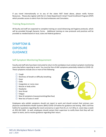If you travel internationally or to any of the states NOT listed above, please notify Human Resources. Please also register with the U.S. State Department's Smart Travel Enrollment Program (STEP) which provides access to alerts from the local embassies and Consulates.

#### Training Requirements

All faculty and staff are expected to complete training on social distancing and hygiene protocols, which will be provided through Dynamic Forms. Additional training on new protocols and practices will be provided as needed based on local, state and federal guidance.

## SYMPTOM & EXPOSURE **GUIDANCE**

#### Self-Symptom Monitoring Requirement

Faculty and staff who have been instructed to return to the workplace must conduct symptom monitoring every day before reporting to work. You must be free of ANY symptoms potentially related to COVID-19. These symptoms include one or more of the following:

- $\Box$  Cough
- $\Box$  Shortness of breath or difficulty breathing
- $\Box$  Fever
- $\Box$  Chills
- $\Box$  Congestion or runny nose
- $\Box$  Muscle or body aches
- $\Box$  Headache
- $\Box$  Sore throat
- $\Box$  Fatigue
- $\Box$  New GI symptoms (nausea/vomiting/diarrhea)
- $\Box$  New loss of taste or smell



Employees who exhibit symptoms should not report to work and should contact their primary care physician and Berkshire Health Systems (BHS) COVID-19 hotline for guidance and testing. BHS's toll-free hotline for questions regarding the novel coronavirus is open from 8 a.m. to 4:30 p.m. seven days a week at: 855-262-5465. As well, employees should contact their supervisor to notify them that they will not report to work, and to receive guidance regarding their return.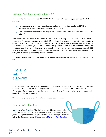#### Exposure/Potential Exposure to COVID-19

In addition to the symptoms related to COVID-19, it is important that employees consider the following questions:

- $\Box$  Have you or anyone you have been in close contact with been diagnosed with COVID-19, or been placed on quarantine for possible contact with COVID-19?
- $\Box$  Have you been asked to self-isolate or quarantine by a medical professional or a local public health official?

Employees who have been in close contact with an individual diagnosed with COVID-19 or placed on quarantine for possible contact with COVID-19, or have themselves been asked to self-isolate or quarantine, should not report to work. Contact should be made with a primary care physician and Berkshire Health Systems (BHS) COVID-19 hotline for guidance and testing. BHS's toll-free hotline for questions regarding the novel coronavirus is open from 8 a.m. to 4:30 p.m. seven days a week at: 855- 262-5465. As well, employees should contact their supervisor to notify them that they will not report to work, and to receive guidance regarding their return.

A positive COVID-19 test should be reported to Human Resources and the employee should not report to work.

## HEALTH & **SAFFTY** GUIDANCE

As a community, each of us is accountable for the health and safety of ourselves and our campus members. Maintaining the well-being of our campus community requires the collective efforts of us all. Upon return to campus, staff and faculty will receive two cloth face masks, hand sanitizer, and a contactless door opening device.

Staff and faculty are to follow the outlined practices detailed below:

#### Personal Safety Practices

Face Masks/Face Coverings: The College will provide cloth face masks to faculty and staff, and all are expected to follow Massachusetts state guidelines regarding the wearing of face masks/face coverings. Follow this link to the Governor's order: [Massachusetts Masks and Face Coverings](https://www.mass.gov/doc/may-1-2020-masks-and-face-coverings/download)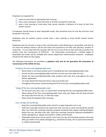Employees are expected to:

- $\Box$  report to work with an appropriate face covering
- $\Box$  have a face covering or mask with them at all times during their work day
- $\Box$  wear a face covering or mask when they cannot maintain a distance of at least six feet from another person

If employees should choose to wear disposable masks, they should be worn for one day and then must be placed in the trash.

Employees who for medical reasons cannot wear a face covering or mask should contact Human Resources.

Employees who do not wear a mask or face covering when social distancing is not possible, and who do not meet the medical criterion, will be sent home and required to use their own personal, vacation or comp time. It is our hope that this situation will not occur as we all do our best each day to protect one another from the transmission of COVID-19. For extenuating circumstances, a limited supply of disposable face masks will be available with various department administrative assistants. Employees should not be reliant on this supply.

The following instructions are provided as **guidance only and do not guarantee the prevention of transmission of the COVID-19 virus**.

#### Putting on the face covering/disposable mask:

- Wash hands or use hand sanitizer prior to handling the face covering/disposable mask.
- Ensure the face-covering/disposable mask fits over the nose and under the chin.
- Situate the face-covering/disposable mask properly with nose wire snug against the nose (where applicable).
- Tie straps behind the head and neck or loop around the ears.
- Throughout the process: Avoid touching the front of the face covering/disposable mask.

#### Taking off the face covering/disposable mask:

- Do not touch your eyes, nose, or mouth when removing the face covering/disposable mask.
- When taking off the face covering/disposable mask, loop your finger into the strap and pull the strap away from the ear, or untie the straps.
- Wash hands immediately after removing.

#### Care, storage and laundering:

- *•* Keep face coverings/disposable masks stored in a paper bag when not in use.
- *•* Cloth face coverings should not be used more than one day at a time and should be washed after use. Cloth face coverings should be properly laundered with regular clothing detergent before first use, and after each shift. Cloth face coverings should be replaced immediately if soiled, damaged (e.g. ripped, punctured) or visibly contaminated.
- *•* Disposable masks must not be used for more than one day and should be placed in the trash after your shift or if it is soiled, damaged (e.g., stretched ear loops, torn or punctured material) or visibly contaminated.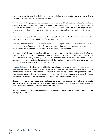For additional details regarding cloth face coverings, including how to create, wear and care for homemade face coverings, please visit the CDC website.

Social Distancing: Keeping space between you and others is one of the best tools we have to avoid being exposed to the COVID-19 virus and slowing its spread. Since people can spread the virus before they know they are sick, it is important to stay away from others when possible, even if you have no symptoms. Social distancing is important for everyone, especially to help protect people who are at higher risk of getting sick.

Employees on campus should maintain a distance of at least six feet (about 2 arms' length) from other people when able, being particularly mindful when in enclosed spaces.

For now, gatherings of 10 or more should be avoided. Technology resources should continue to be utilized for meetings, even after faculty and staff return to campus. When meeting in person is required, meeting spaces should be large enough to allow for social distancing of all attendees.

Handwashing: Wash your hands often with soap and water for at least 20 seconds especially after you have been in a public place, or after blowing your nose, coughing, sneezing, or touching your face. If soap and water are not readily available, use a hand sanitizer that contains at least 60% alcohol. Cover all surfaces of your hands and rub them together until they feel dry. Avoid touching your eyes, nose, and mouth, and wash your hands after touching your face.

Cleaning/Disinfection: Facilities teams will follow an enhanced cleaning protocol, addressing common areas as employees are phased in for return to work, and assessing needs as students return to campus. Disinfectant cleaner will be provided to departments for maintaining personal workspaces and common high-touch surfaces, such as printers, copiers, door handles, light switches, desks and tables. Employees are responsible for cleaning their personal work areas using this disinfectant cleaner.

Sharing of personal workspace and tools/devices should be avoided (e.g. phones, computer keyboards/mice, staplers, pens/pencils, markers, erasers). Where sharing occurs, employees should take measures to clean all touched surfaces before and after use.

Facilities Management will maintain hand-sanitizer stations at major building entrances, elevator stops and high-traffic areas.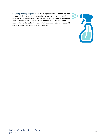Coughing/Sneezing Hygiene: If you are in a private setting and do not have on your cloth face covering, remember to always cover your mouth and nose with a tissue when you cough or sneeze or use the inside of your elbow. Then throw used tissues in the trash. Immediately wash your hands with soap and water for at least 20 seconds. If soap and water are not readily available, clean your hands with hand sanitizer.

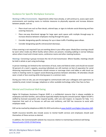## Guidance for Specific Workplace Scenarios

Working in Office Environments: Departments either have already, or will continue to, assess open work environments and meeting rooms to institute measures to physically separate and increase distance between people, such as:

- Place visual cues such as floor decals, colored tape, or signs to indicate social distancing and face covering measures.
- Place one-way directional signage for large open work spaces with multiple through-ways to increase distance between employees moving through the space.
- Consider designating specific stairways for up or down traffic if building space allows.
- Consider designating specific entrance/exit doorways.

A face covering is not required if you are working alone in your office space. Masks/face coverings should be worn when inside any MCLA facility where others are present, including walking in narrow hallways where others travel and in break rooms, conference rooms and other meeting locations.

Meetings: Convening in groups increases the risk of viral transmission. Where feasible, meetings should be held in whole or part using technology.

In person meetings are limited to the restrictions of local, state and federal orders and should not exceed 50 percent of a room's capacity, assuming individuals can still maintain six feet of separation for social distancing requirements. Departments should remove or rearrange chairs and tables or add visual cue marks in meeting rooms to support social distancing practices between attendees. All attendees should wear a mask or face covering while sharing space in a common room.

During your time on-site, you are encouraged to communicate with your colleagues and supervisors as needed by email, instant message, telephone or other available technology rather than face-to-face.

#### Mental and Emotional Well-being

Higher Ed Employee Assistance Program (EAP) is a confidential resource that is always available to employees and their families, and could be especially helpful during this stressful period. Higher Ed EAP is staffed by licensed counselors who respond quickly, with care and respect, to requests for help. It is important that each of us focuses on self-care and resiliency, and EAP has resources to assist with employee needs.

EAP can be reached by telephone at 800.252.4555 and online at [www.theEAP.com/Higher-Education-EAP.](http://www.theeap.com/Higher-Education-EAP)

Health insurance benefits also include access to mental health services and employees should avail themselves of these services as desired.

In addition, the Commonwealth website has resources relative to maintaining emotional well-being: [Massachusetts COVID-19 Well-being](https://www.mass.gov/resource/maintaining-emotional-health-well-being-during-the-covid-19-outbreak)